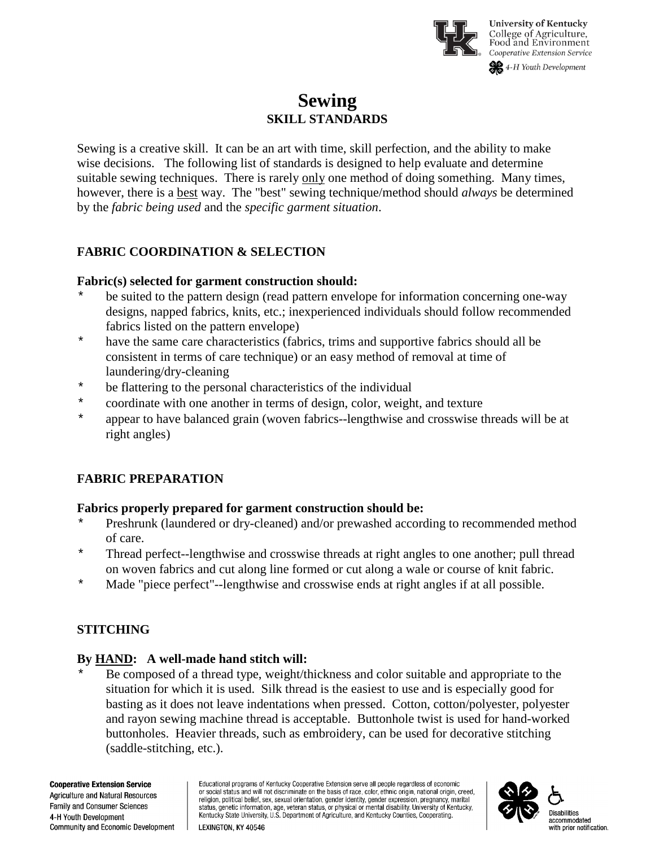

# **Sewing SKILL STANDARDS**

Sewing is a creative skill. It can be an art with time, skill perfection, and the ability to make wise decisions. The following list of standards is designed to help evaluate and determine suitable sewing techniques. There is rarely only one method of doing something. Many times, however, there is a best way. The "best" sewing technique/method should *always* be determined by the *fabric being used* and the *specific garment situation*.

### **FABRIC COORDINATION & SELECTION**

#### **Fabric(s) selected for garment construction should:**

- \* be suited to the pattern design (read pattern envelope for information concerning one-way designs, napped fabrics, knits, etc.; inexperienced individuals should follow recommended fabrics listed on the pattern envelope)
- \* have the same care characteristics (fabrics, trims and supportive fabrics should all be consistent in terms of care technique) or an easy method of removal at time of laundering/dry-cleaning
- \* be flattering to the personal characteristics of the individual
- \* coordinate with one another in terms of design, color, weight, and texture<br>\* consecrate have belonged grain (we'ven febries, longthwise and gresswise that
- appear to have balanced grain (woven fabrics--lengthwise and crosswise threads will be at right angles)

# **FABRIC PREPARATION**

### **Fabrics properly prepared for garment construction should be:**

- \* Preshrunk (laundered or dry-cleaned) and/or prewashed according to recommended method of care.
- \* Thread perfect--lengthwise and crosswise threads at right angles to one another; pull thread on woven fabrics and cut along line formed or cut along a wale or course of knit fabric.
- \* Made "piece perfect"--lengthwise and crosswise ends at right angles if at all possible.

### **STITCHING**

### **By HAND: A well-made hand stitch will:**

\* Be composed of a thread type, weight/thickness and color suitable and appropriate to the situation for which it is used. Silk thread is the easiest to use and is especially good for basting as it does not leave indentations when pressed. Cotton, cotton/polyester, polyester and rayon sewing machine thread is acceptable. Buttonhole twist is used for hand-worked buttonholes. Heavier threads, such as embroidery, can be used for decorative stitching (saddle-stitching, etc.).

**Cooperative Extension Service** Agriculture and Natural Resources Family and Consumer Sciences 4-H Youth Development Community and Economic Development

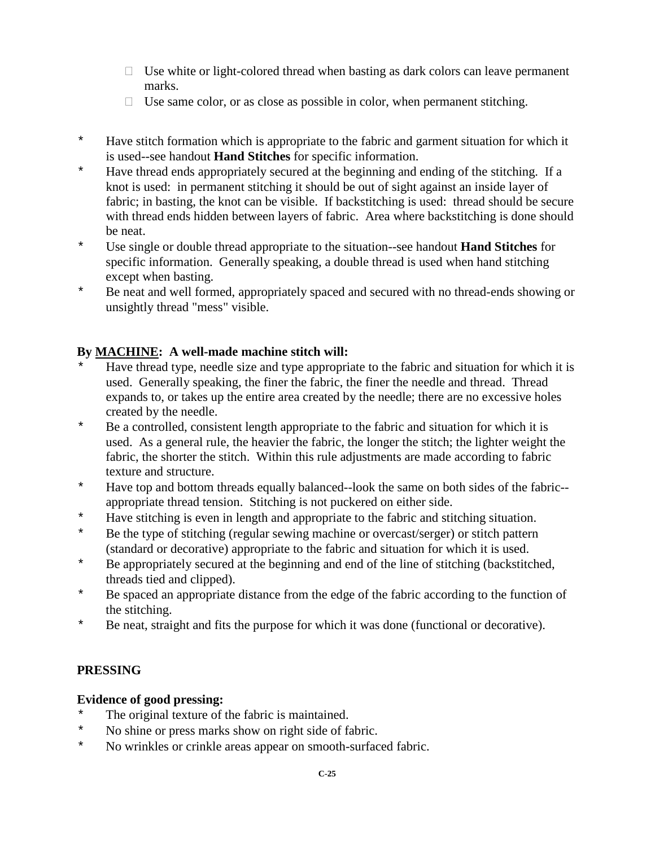- $\Box$  Use white or light-colored thread when basting as dark colors can leave permanent marks.
- $\Box$  Use same color, or as close as possible in color, when permanent stitching.
- \* Have stitch formation which is appropriate to the fabric and garment situation for which it is used--see handout **Hand Stitches** for specific information.
- \* Have thread ends appropriately secured at the beginning and ending of the stitching.If a knot is used: in permanent stitching it should be out of sight against an inside layer of fabric; in basting, the knot can be visible. If backstitching is used: thread should be secure with thread ends hidden between layers of fabric. Area where backstitching is done should be neat.
- \* Use single or double thread appropriate to the situation--see handout **Hand Stitches** for specific information. Generally speaking, a double thread is used when hand stitching except when basting.
- \* Be neat and well formed, appropriately spaced and secured with no thread-ends showing or unsightly thread "mess" visible.

### **By MACHINE: A well-made machine stitch will:**

- Have thread type, needle size and type appropriate to the fabric and situation for which it is used. Generally speaking, the finer the fabric, the finer the needle and thread. Thread expands to, or takes up the entire area created by the needle; there are no excessive holes created by the needle.
- \* Be a controlled, consistent length appropriate to the fabric and situation for which it is used. As a general rule, the heavier the fabric, the longer the stitch; the lighter weight the fabric, the shorter the stitch. Within this rule adjustments are made according to fabric texture and structure.
- \* Have top and bottom threads equally balanced--look the same on both sides of the fabric- appropriate thread tension. Stitching is not puckered on either side.
- \* Have stitching is even in length and appropriate to the fabric and stitching situation.<br>\* Be the type of stitching (regular sewing machine or overcast/serger) or stitch pattern
- Be the type of stitching (regular sewing machine or overcast/serger) or stitch pattern (standard or decorative) appropriate to the fabric and situation for which it is used.
- \* Be appropriately secured at the beginning and end of the line of stitching (backstitched, threads tied and clipped).
- \* Be spaced an appropriate distance from the edge of the fabric according to the function of the stitching.
- \* Be neat, straight and fits the purpose for which it was done (functional or decorative).

### **PRESSING**

#### **Evidence of good pressing:**

- \* The original texture of the fabric is maintained.<br>No shine or press marks show on right side of fa
- \* No shine or press marks show on right side of fabric.<br>No wright see a speak appear on smooth-surface
- No wrinkles or crinkle areas appear on smooth-surfaced fabric.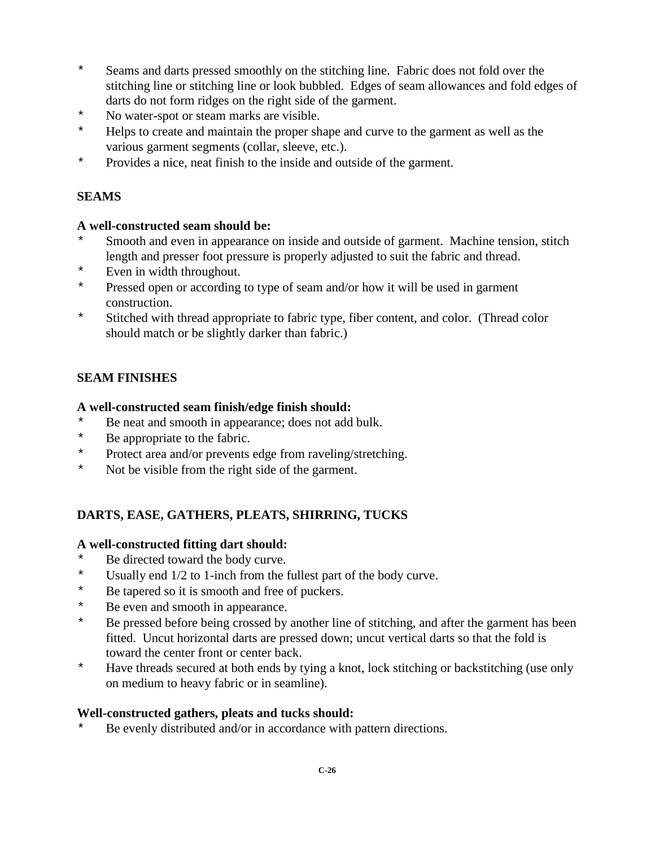- \* Seams and darts pressed smoothly on the stitching line. Fabric does not fold over the stitching line or stitching line or look bubbled. Edges of seam allowances and fold edges of darts do not form ridges on the right side of the garment.
- \* No water-spot or steam marks are visible.<br>\* Helps to create and maintain the proper sh
- \* Helps to create and maintain the proper shape and curve to the garment as well as the various garment segments (collar, sleeve, etc.).
- \* Provides a nice, neat finish to the inside and outside of the garment.

### **SEAMS**

### **A well-constructed seam should be:**

- Smooth and even in appearance on inside and outside of garment. Machine tension, stitch length and presser foot pressure is properly adjusted to suit the fabric and thread.
- \* Even in width throughout.
- \* Pressed open or according to type of seam and/or how it will be used in garment construction.
- \* Stitched with thread appropriate to fabric type, fiber content, and color. (Thread color should match or be slightly darker than fabric.)

# **SEAM FINISHES**

### **A well-constructed seam finish/edge finish should:**

- \* Be neat and smooth in appearance; does not add bulk.
- \* Be appropriate to the fabric.<br>Protect area and/or prevents
- Protect area and/or prevents edge from raveling/stretching.
- \* Not be visible from the right side of the garment.

# **DARTS, EASE, GATHERS, PLEATS, SHIRRING, TUCKS**

### **A well-constructed fitting dart should:**

- \* Be directed toward the body curve.<br> $\frac{1}{2}$  I Isually end 1/2 to 1-inch from the
- Usually end  $1/2$  to 1-inch from the fullest part of the body curve.
- \* Be tapered so it is smooth and free of puckers.<br>\* Be even and smooth in appearance
- \* Be even and smooth in appearance.<br>\* Be pressed before being crossed by
- Be pressed before being crossed by another line of stitching, and after the garment has been fitted. Uncut horizontal darts are pressed down; uncut vertical darts so that the fold is toward the center front or center back.
- \* Have threads secured at both ends by tying a knot, lock stitching or backstitching (use only on medium to heavy fabric or in seamline).

### **Well-constructed gathers, pleats and tucks should:**

Be evenly distributed and/or in accordance with pattern directions.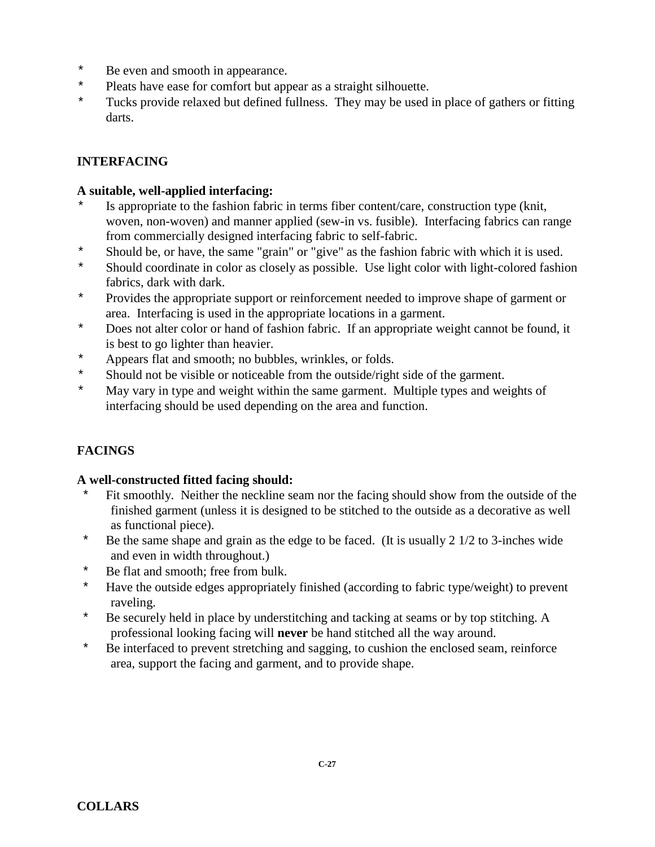- \* Be even and smooth in appearance.
- \* Pleats have ease for comfort but appear as a straight silhouette.<br>\* Tucks provide relaxed but defined fullness. They may be used
- Tucks provide relaxed but defined fullness. They may be used in place of gathers or fitting darts.

# **INTERFACING**

#### **A suitable, well-applied interfacing:**

- Is appropriate to the fashion fabric in terms fiber content/care, construction type (knit, woven, non-woven) and manner applied (sew-in vs. fusible). Interfacing fabrics can range from commercially designed interfacing fabric to self-fabric.
- \* Should be, or have, the same "grain" or "give" as the fashion fabric with which it is used.<br>\* Should coordinate in color as closely as possible. Use light color with light-colored fashion
- Should coordinate in color as closely as possible. Use light color with light-colored fashion fabrics, dark with dark.
- \* Provides the appropriate support or reinforcement needed to improve shape of garment or area. Interfacing is used in the appropriate locations in a garment.
- \* Does not alter color or hand of fashion fabric. If an appropriate weight cannot be found, it is best to go lighter than heavier.
- \* Appears flat and smooth; no bubbles, wrinkles, or folds.<br>\* Should not be visible or noticeable from the outside/right
- \* Should not be visible or noticeable from the outside/right side of the garment.<br>Nav vary in type and weight within the same garment. Multiple types and we
- May vary in type and weight within the same garment. Multiple types and weights of interfacing should be used depending on the area and function.

# **FACINGS**

#### **A well-constructed fitted facing should:**

- Fit smoothly. Neither the neckline seam nor the facing should show from the outside of the finished garment (unless it is designed to be stitched to the outside as a decorative as well as functional piece).
- \* Be the same shape and grain as the edge to be faced. (It is usually 2 1/2 to 3-inches wide and even in width throughout.)
- \* Be flat and smooth; free from bulk.
- \* Have the outside edges appropriately finished (according to fabric type/weight) to prevent raveling.
- \* Be securely held in place by understitching and tacking at seams or by top stitching. A professional looking facing will **never** be hand stitched all the way around.
- \* Be interfaced to prevent stretching and sagging, to cushion the enclosed seam, reinforce area, support the facing and garment, and to provide shape.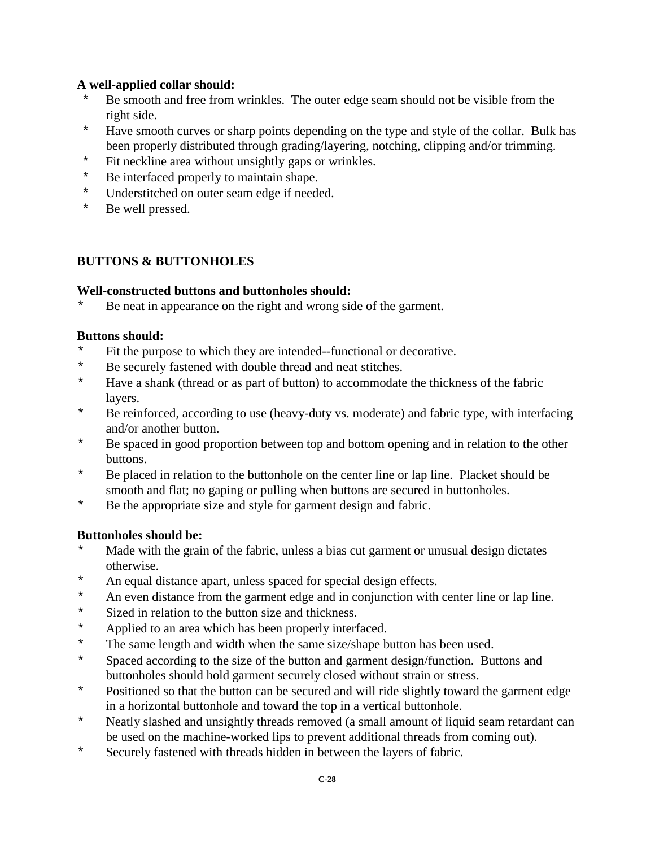### **A well-applied collar should:**

- Be smooth and free from wrinkles. The outer edge seam should not be visible from the right side.
- \* Have smooth curves or sharp points depending on the type and style of the collar. Bulk has been properly distributed through grading/layering, notching, clipping and/or trimming.
- \* Fit neckline area without unsightly gaps or wrinkles.<br>\* Be interfaced properly to maintain shape
- Be interfaced properly to maintain shape.
- \* Understitched on outer seam edge if needed.<br>\* Be well pressed
- Be well pressed.

### **BUTTONS & BUTTONHOLES**

### **Well-constructed buttons and buttonholes should:**

\* Be neat in appearance on the right and wrong side of the garment.

#### **Buttons should:**

- \* Fit the purpose to which they are intended--functional or decorative.<br>\* Be securely fastened with double thread and neat stitches.
- \* Be securely fastened with double thread and neat stitches.<br>\* Have a shank (thread or as part of button) to accommodate
- Have a shank (thread or as part of button) to accommodate the thickness of the fabric layers.
- \* Be reinforced, according to use (heavy-duty vs. moderate) and fabric type, with interfacing and/or another button.
- \* Be spaced in good proportion between top and bottom opening and in relation to the other buttons.
- \* Be placed in relation to the buttonhole on the center line or lap line. Placket should be smooth and flat; no gaping or pulling when buttons are secured in buttonholes.
- \* Be the appropriate size and style for garment design and fabric.

### **Buttonholes should be:**

- \* Made with the grain of the fabric, unless a bias cut garment or unusual design dictates otherwise.
- \* An equal distance apart, unless spaced for special design effects.<br>\* An even distance from the garment edge and in conjunction with
- \* An even distance from the garment edge and in conjunction with center line or lap line.<br>Next say in relation to the button size and thickness
- \* Sized in relation to the button size and thickness.<br>\* Applied to an area which has been properly interf
- \* Applied to an area which has been properly interfaced.<br>\* The same length and width when the same size/shape h
- \* The same length and width when the same size/shape button has been used.<br>\* Spaced according to the size of the button and garment design/function. But
- Spaced according to the size of the button and garment design/function. Buttons and buttonholes should hold garment securely closed without strain or stress.
- \* Positioned so that the button can be secured and will ride slightly toward the garment edge in a horizontal buttonhole and toward the top in a vertical buttonhole.
- \* Neatly slashed and unsightly threads removed (a small amount of liquid seam retardant can be used on the machine-worked lips to prevent additional threads from coming out).
- \* Securely fastened with threads hidden in between the layers of fabric.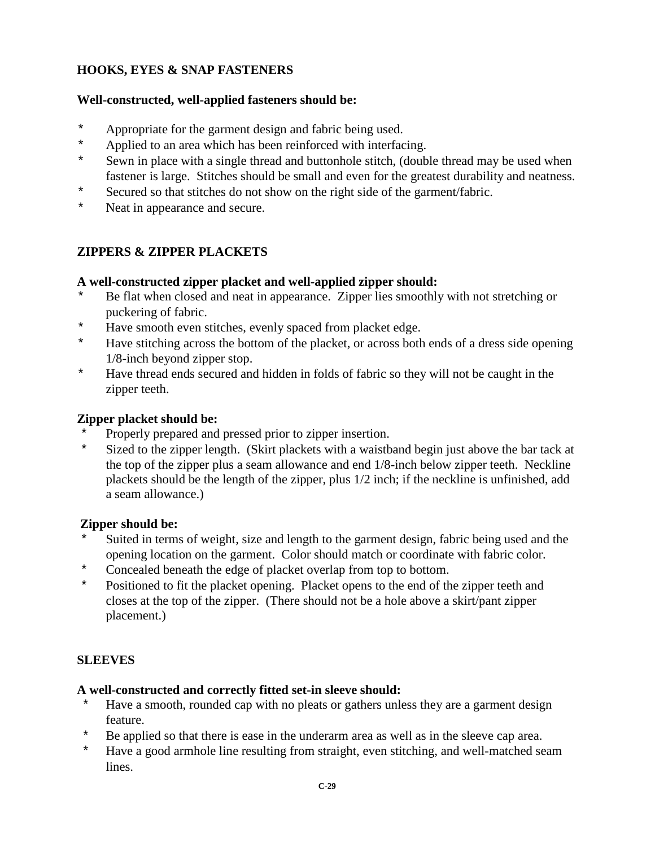## **HOOKS, EYES & SNAP FASTENERS**

#### **Well-constructed, well-applied fasteners should be:**

- \* Appropriate for the garment design and fabric being used.<br>\* Applied to an area which has been reinforced with interfac-
- Applied to an area which has been reinforced with interfacing.
- \* Sewn in place with a single thread and buttonhole stitch, (double thread may be used when fastener is large. Stitches should be small and even for the greatest durability and neatness.
- \* Secured so that stitches do not show on the right side of the garment/fabric.
- \* Neat in appearance and secure.

### **ZIPPERS & ZIPPER PLACKETS**

#### **A well-constructed zipper placket and well-applied zipper should:**

- \* Be flat when closed and neat in appearance. Zipper lies smoothly with not stretching or puckering of fabric.
- \* Have smooth even stitches, evenly spaced from placket edge.
- \* Have stitching across the bottom of the placket, or across both ends of a dress side opening 1/8-inch beyond zipper stop.
- \* Have thread ends secured and hidden in folds of fabric so they will not be caught in the zipper teeth.

#### **Zipper placket should be:**

- Properly prepared and pressed prior to zipper insertion.
- \* Sized to the zipper length. (Skirt plackets with a waistband begin just above the bar tack at the top of the zipper plus a seam allowance and end 1/8-inch below zipper teeth. Neckline plackets should be the length of the zipper, plus 1/2 inch; if the neckline is unfinished, add a seam allowance.)

#### **Zipper should be:**

- Suited in terms of weight, size and length to the garment design, fabric being used and the opening location on the garment. Color should match or coordinate with fabric color.
- \* Concealed beneath the edge of placket overlap from top to bottom.
- \* Positioned to fit the placket opening. Placket opens to the end of the zipper teeth and closes at the top of the zipper. (There should not be a hole above a skirt/pant zipper placement.)

### **SLEEVES**

#### **A well-constructed and correctly fitted set-in sleeve should:**

- \* Have a smooth, rounded cap with no pleats or gathers unless they are a garment design feature.
- Be applied so that there is ease in the underarm area as well as in the sleeve cap area.
- \* Have a good armhole line resulting from straight, even stitching, and well-matched seam lines.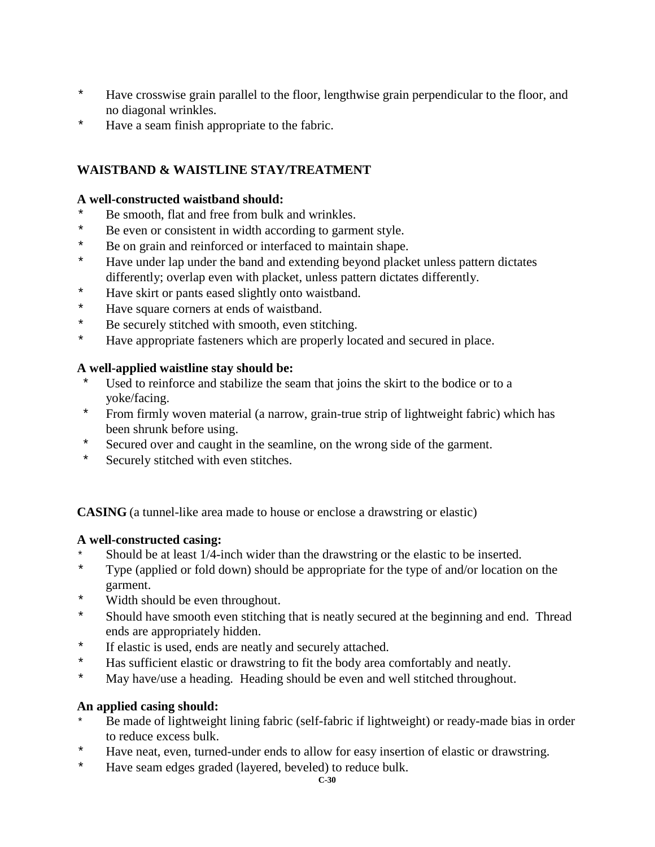- \* Have crosswise grain parallel to the floor, lengthwise grain perpendicular to the floor, and no diagonal wrinkles.
- \* Have a seam finish appropriate to the fabric.

## **WAISTBAND & WAISTLINE STAY/TREATMENT**

#### **A well-constructed waistband should:**

- \* Be smooth, flat and free from bulk and wrinkles.<br>\* Be even or consistent in width according to garm
- \* Be even or consistent in width according to garment style.<br>\* Be on grain and rainforced or interfaced to maintain shape
- \* Be on grain and reinforced or interfaced to maintain shape.<br>\* Have under lap under the band and extending beyond plack
- Have under lap under the band and extending beyond placket unless pattern dictates differently; overlap even with placket, unless pattern dictates differently.
- \* Have skirt or pants eased slightly onto waistband.
- \* Have square corners at ends of waistband.<br>\* Be securely stitched with smooth even still
- Be securely stitched with smooth, even stitching.
- \* Have appropriate fasteners which are properly located and secured in place.

### **A well-applied waistline stay should be:**

- Used to reinforce and stabilize the seam that joins the skirt to the bodice or to a yoke/facing.
- \* From firmly woven material (a narrow, grain-true strip of lightweight fabric) which has been shrunk before using.
- \* Secured over and caught in the seamline, on the wrong side of the garment.<br>\* Securely stitched with even stitches
- Securely stitched with even stitches.

**CASING** (a tunnel-like area made to house or enclose a drawstring or elastic)

### **A well-constructed casing:**

- Should be at least 1/4-inch wider than the drawstring or the elastic to be inserted.
- \* Type (applied or fold down) should be appropriate for the type of and/or location on the garment.
- \* Width should be even throughout.
- \* Should have smooth even stitching that is neatly secured at the beginning and end. Thread ends are appropriately hidden.
- \* If elastic is used, ends are neatly and securely attached.<br>\* Has sufficient elastic or drawstring to fit the body area
- \* Has sufficient elastic or drawstring to fit the body area comfortably and neatly.<br>\* May have/use a heading Heading should be even and well stitched throughout
- May have/use a heading. Heading should be even and well stitched throughout.

### **An applied casing should:**

- Be made of lightweight lining fabric (self-fabric if lightweight) or ready-made bias in order to reduce excess bulk.
- \* Have neat, even, turned-under ends to allow for easy insertion of elastic or drawstring.<br>\* Have seam edges graded (lavered beveled) to reduce bulk
- Have seam edges graded (layered, beveled) to reduce bulk.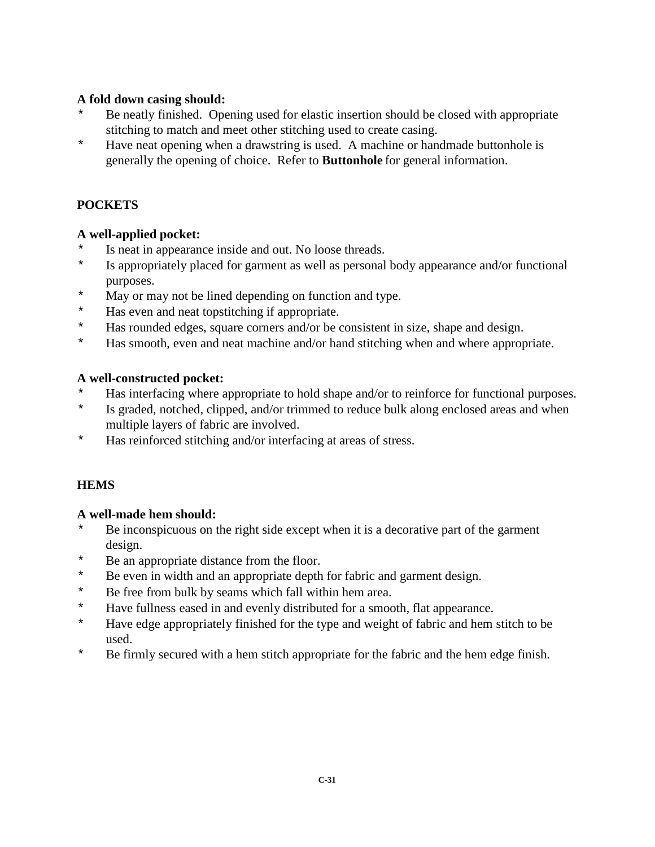### **A fold down casing should:**

- \* Be neatly finished. Opening used for elastic insertion should be closed with appropriate stitching to match and meet other stitching used to create casing.
- \* Have neat opening when a drawstring is used. A machine or handmade buttonhole is generally the opening of choice. Refer to **Buttonhole** for general information.

# **POCKETS**

# **A well-applied pocket:**

- \* Is neat in appearance inside and out. No loose threads.<br>\* Is appropriately placed for garment as well as personal
- Is appropriately placed for garment as well as personal body appearance and/or functional purposes.
- \* May or may not be lined depending on function and type.<br>\* Has even and neat tonstitching if appropriate
- Has even and neat topstitching if appropriate.
- \* Has rounded edges, square corners and/or be consistent in size, shape and design.<br>\* Has smooth even and neat machine and/or hand stitching when and where appropriate
- Has smooth, even and neat machine and/or hand stitching when and where appropriate.

### **A well-constructed pocket:**

- \* Has interfacing where appropriate to hold shape and/or to reinforce for functional purposes.
- \* Is graded, notched, clipped, and/or trimmed to reduce bulk along enclosed areas and when multiple layers of fabric are involved.
- \* Has reinforced stitching and/or interfacing at areas of stress.

# **HEMS**

# **A well-made hem should:**

- Be inconspicuous on the right side except when it is a decorative part of the garment design.
- \* Be an appropriate distance from the floor.<br>\* Be even in width and an appropriate denth
- Be even in width and an appropriate depth for fabric and garment design.
- \* Be free from bulk by seams which fall within hem area.
- \* Have fullness eased in and evenly distributed for a smooth, flat appearance.<br>\* Have edge appropriately finished for the type and weight of fabric and hem
- Have edge appropriately finished for the type and weight of fabric and hem stitch to be used.
- \* Be firmly secured with a hem stitch appropriate for the fabric and the hem edge finish.